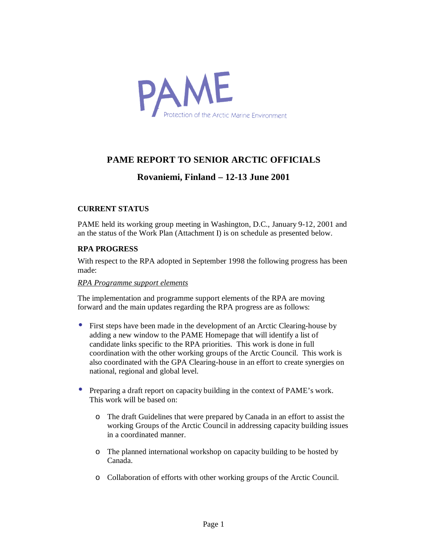

### **PAME REPORT TO SENIOR ARCTIC OFFICIALS**

### **Rovaniemi, Finland – 12-13 June 2001**

### **CURRENT STATUS**

PAME held its working group meeting in Washington, D.C., January 9-12, 2001 and an the status of the Work Plan (Attachment I) is on schedule as presented below.

### **RPA PROGRESS**

With respect to the RPA adopted in September 1998 the following progress has been made:

#### *RPA Programme support elements*

The implementation and programme support elements of the RPA are moving forward and the main updates regarding the RPA progress are as follows:

- First steps have been made in the development of an Arctic Clearing-house by adding a new window to the PAME Homepage that will identify a list of candidate links specific to the RPA priorities. This work is done in full coordination with the other working groups of the Arctic Council. This work is also coordinated with the GPA Clearing-house in an effort to create synergies on national, regional and global level.
- Preparing a draft report on capacity building in the context of PAME's work. This work will be based on:
	- o The draft Guidelines that were prepared by Canada in an effort to assist the working Groups of the Arctic Council in addressing capacity building issues in a coordinated manner.
	- o The planned international workshop on capacity building to be hosted by Canada.
	- o Collaboration of efforts with other working groups of the Arctic Council.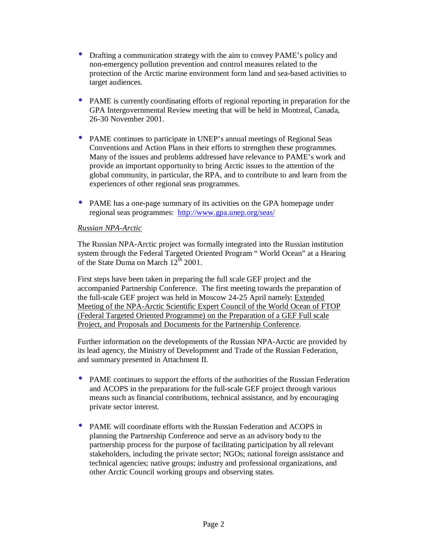- Drafting a communication strategy with the aim to convey PAME's policy and non-emergency pollution prevention and control measures related to the protection of the Arctic marine environment form land and sea-based activities to target audiences.
- PAME is currently coordinating efforts of regional reporting in preparation for the GPA Intergovernmental Review meeting that will be held in Montreal, Canada, 26-30 November 2001.
- PAME continues to participate in UNEP's annual meetings of Regional Seas Conventions and Action Plans in their efforts to strengthen these programmes. Many of the issues and problems addressed have relevance to PAME's work and provide an important opportunity to bring Arctic issues to the attention of the global community, in particular, the RPA, and to contribute to and learn from the experiences of other regional seas programmes.
- PAME has a one-page summary of its activities on the GPA homepage under regional seas programmes: http://www.gpa.unep.org/seas/

### *Russian NPA-Arctic*

The Russian NPA-Arctic project was formally integrated into the Russian institution system through the Federal Targeted Oriented Program " World Ocean" at a Hearing of the State Duma on March  $12^{\text{th}}$  2001.

First steps have been taken in preparing the full scale GEF project and the accompanied Partnership Conference. The first meeting towards the preparation of the full-scale GEF project was held in Moscow 24-25 April namely: Extended Meeting of the NPA-Arctic Scientific Expert Council of the World Ocean of FTOP (Federal Targeted Oriented Programme) on the Preparation of a GEF Full scale Project, and Proposals and Documents for the Partnership Conference.

Further information on the developments of the Russian NPA-Arctic are provided by its lead agency, the Ministry of Development and Trade of the Russian Federation, and summary presented in Attachment II.

- PAME continues to support the efforts of the authorities of the Russian Federation and ACOPS in the preparations for the full-scale GEF project through various means such as financial contributions, technical assistance, and by encouraging private sector interest.
- PAME will coordinate efforts with the Russian Federation and ACOPS in planning the Partnership Conference and serve as an advisory body to the partnership process for the purpose of facilitating participation by all relevant stakeholders, including the private sector; NGOs; national foreign assistance and technical agencies; native groups; industry and professional organizations, and other Arctic Council working groups and observing states.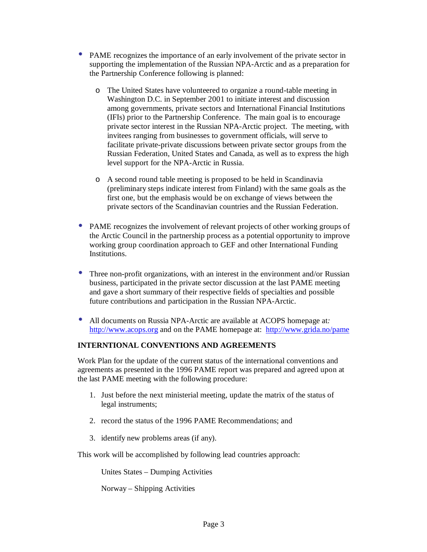- PAME recognizes the importance of an early involvement of the private sector in supporting the implementation of the Russian NPA-Arctic and as a preparation for the Partnership Conference following is planned:
	- o The United States have volunteered to organize a round-table meeting in Washington D.C. in September 2001 to initiate interest and discussion among governments, private sectors and International Financial Institutions (IFIs) prior to the Partnership Conference. The main goal is to encourage private sector interest in the Russian NPA-Arctic project. The meeting, with invitees ranging from businesses to government officials, will serve to facilitate private-private discussions between private sector groups from the Russian Federation, United States and Canada, as well as to express the high level support for the NPA-Arctic in Russia.
	- o A second round table meeting is proposed to be held in Scandinavia (preliminary steps indicate interest from Finland) with the same goals as the first one, but the emphasis would be on exchange of views between the private sectors of the Scandinavian countries and the Russian Federation.
- PAME recognizes the involvement of relevant projects of other working groups of the Arctic Council in the partnership process as a potential opportunity to improve working group coordination approach to GEF and other International Funding Institutions.
- Three non-profit organizations, with an interest in the environment and/or Russian business, participated in the private sector discussion at the last PAME meeting and gave a short summary of their respective fields of specialties and possible future contributions and participation in the Russian NPA-Arctic.
- All documents on Russia NPA-Arctic are available at ACOPS homepage at*:*  http://www.acops.org and on the PAME homepage at: http://www.grida.no/pame

### **INTERNTIONAL CONVENTIONS AND AGREEMENTS**

Work Plan for the update of the current status of the international conventions and agreements as presented in the 1996 PAME report was prepared and agreed upon at the last PAME meeting with the following procedure:

- 1. Just before the next ministerial meeting, update the matrix of the status of legal instruments;
- 2. record the status of the 1996 PAME Recommendations; and
- 3. identify new problems areas (if any).

This work will be accomplished by following lead countries approach:

Unites States – Dumping Activities

Norway – Shipping Activities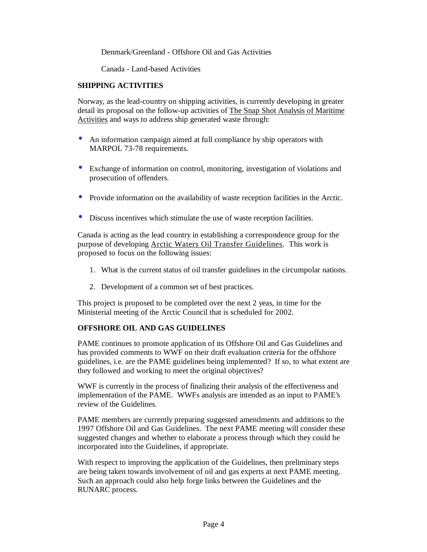Denmark/Greenland - Offshore Oil and Gas Activities

Canada - Land-based Activities

### **SHIPPING ACTIVITIES**

Norway, as the lead-country on shipping activities, is currently developing in greater detail its proposal on the follow-up activities of The Snap Shot Analysis of Maritime Activities and ways to address ship generated waste through:

- An information campaign aimed at full compliance by ship operators with MARPOL 73-78 requirements.
- Exchange of information on control, monitoring, investigation of violations and prosecution of offenders.
- Provide information on the availability of waste reception facilities in the Arctic.
- Discuss incentives which stimulate the use of waste reception facilities.

Canada is acting as the lead country in establishing a correspondence group for the purpose of developing Arctic Waters Oil Transfer Guidelines. This work is proposed to focus on the following issues:

- 1. What is the current status of oil transfer guidelines in the circumpolar nations.
- 2. Development of a common set of best practices.

This project is proposed to be completed over the next 2 yeas, in time for the Ministerial meeting of the Arctic Council that is scheduled for 2002.

### **OFFSHORE OIL AND GAS GUIDELINES**

PAME continues to promote application of its Offshore Oil and Gas Guidelines and has provided comments to WWF on their draft evaluation criteria for the offshore guidelines, i.e. are the PAME guidelines being implemented? If so, to what extent are they followed and working to meet the original objectives?

WWF is currently in the process of finalizing their analysis of the effectiveness and implementation of the PAME. WWFs analysis are intended as an input to PAME's review of the Guidelines.

PAME members are currently preparing suggested amendments and additions to the 1997 Offshore Oil and Gas Guidelines. The next PAME meeting will consider these suggested changes and whether to elaborate a process through which they could be incorporated into the Guidelines, if appropriate.

With respect to improving the application of the Guidelines, then preliminary steps are being taken towards involvement of oil and gas experts at next PAME meeting. Such an approach could also help forge links between the Guidelines and the RUNARC process.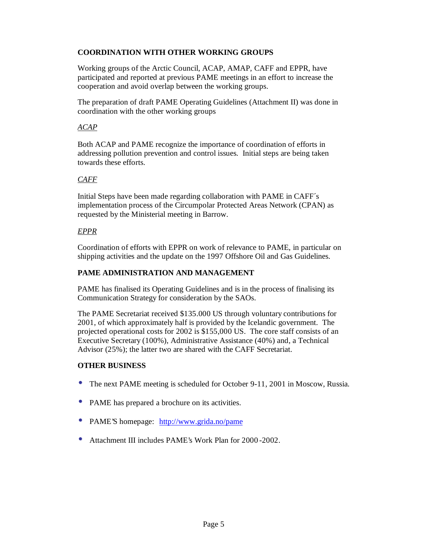### **COORDINATION WITH OTHER WORKING GROUPS**

Working groups of the Arctic Council, ACAP, AMAP, CAFF and EPPR, have participated and reported at previous PAME meetings in an effort to increase the cooperation and avoid overlap between the working groups.

The preparation of draft PAME Operating Guidelines (Attachment II) was done in coordination with the other working groups

### *ACAP*

Both ACAP and PAME recognize the importance of coordination of efforts in addressing pollution prevention and control issues. Initial steps are being taken towards these efforts.

### *CAFF*

Initial Steps have been made regarding collaboration with PAME in CAFF´s implementation process of the Circumpolar Protected Areas Network (CPAN) as requested by the Ministerial meeting in Barrow.

### *EPPR*

Coordination of efforts with EPPR on work of relevance to PAME, in particular on shipping activities and the update on the 1997 Offshore Oil and Gas Guidelines.

### **PAME ADMINISTRATION AND MANAGEMENT**

PAME has finalised its Operating Guidelines and is in the process of finalising its Communication Strategy for consideration by the SAOs.

The PAME Secretariat received \$135.000 US through voluntary contributions for 2001, of which approximately half is provided by the Icelandic government. The projected operational costs for 2002 is \$155,000 US. The core staff consists of an Executive Secretary (100%), Administrative Assistance (40%) and, a Technical Advisor (25%); the latter two are shared with the CAFF Secretariat.

#### **OTHER BUSINESS**

- The next PAME meeting is scheduled for October 9-11, 2001 in Moscow, Russia.
- PAME has prepared a brochure on its activities.
- PAME'S homepage: http://www.grida.no/pame
- Attachment III includes PAME's Work Plan for 2000-2002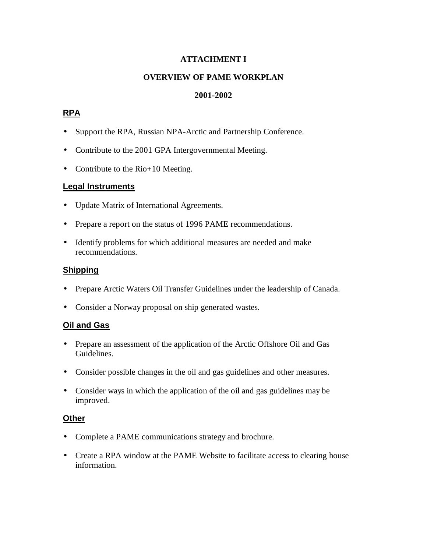### **ATTACHMENT I**

### **OVERVIEW OF PAME WORKPLAN**

### **2001-2002**

### **RPA**

- Support the RPA, Russian NPA-Arctic and Partnership Conference.
- Contribute to the 2001 GPA Intergovernmental Meeting.
- Contribute to the Rio+10 Meeting.

### **Legal Instruments**

- Update Matrix of International Agreements.
- Prepare a report on the status of 1996 PAME recommendations.
- Identify problems for which additional measures are needed and make recommendations.

### **Shipping**

- Prepare Arctic Waters Oil Transfer Guidelines under the leadership of Canada.
- Consider a Norway proposal on ship generated wastes.

### **Oil and Gas**

- Prepare an assessment of the application of the Arctic Offshore Oil and Gas Guidelines.
- Consider possible changes in the oil and gas guidelines and other measures.
- Consider ways in which the application of the oil and gas guidelines may be improved.

### **Other**

- Complete a PAME communications strategy and brochure.
- Create a RPA window at the PAME Website to facilitate access to clearing house information.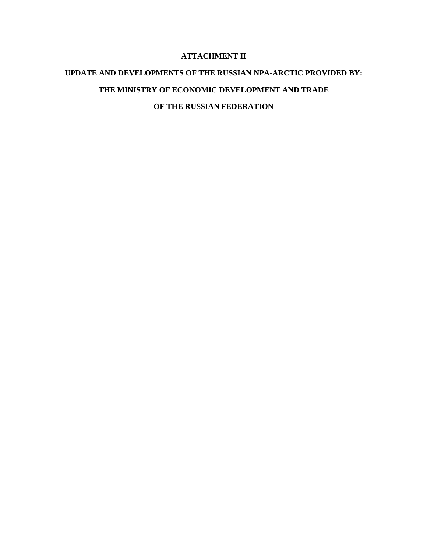### **ATTACHMENT II**

## **UPDATE AND DEVELOPMENTS OF THE RUSSIAN NPA-ARCTIC PROVIDED BY: THE MINISTRY OF ECONOMIC DEVELOPMENT AND TRADE**

**OF THE RUSSIAN FEDERATION**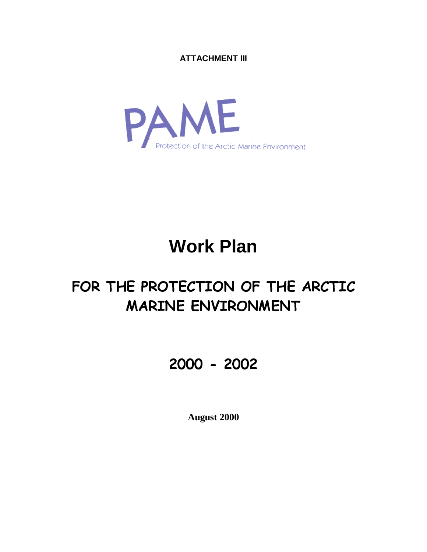**ATTACHMENT III**



# **Work Plan**

# -    - -

## 

**August 2000**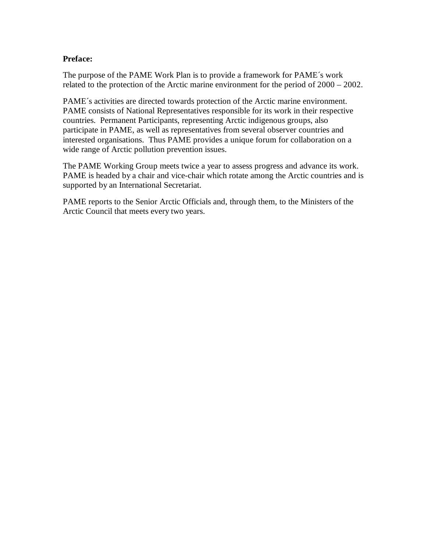### **Preface:**

The purpose of the PAME Work Plan is to provide a framework for PAME´s work related to the protection of the Arctic marine environment for the period of 2000 – 2002.

PAME´s activities are directed towards protection of the Arctic marine environment. PAME consists of National Representatives responsible for its work in their respective countries. Permanent Participants, representing Arctic indigenous groups, also participate in PAME, as well as representatives from several observer countries and interested organisations. Thus PAME provides a unique forum for collaboration on a wide range of Arctic pollution prevention issues.

The PAME Working Group meets twice a year to assess progress and advance its work. PAME is headed by a chair and vice-chair which rotate among the Arctic countries and is supported by an International Secretariat.

PAME reports to the Senior Arctic Officials and, through them, to the Ministers of the Arctic Council that meets every two years.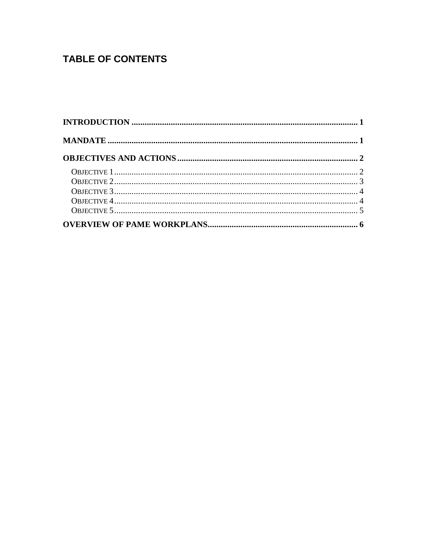### **TABLE OF CONTENTS**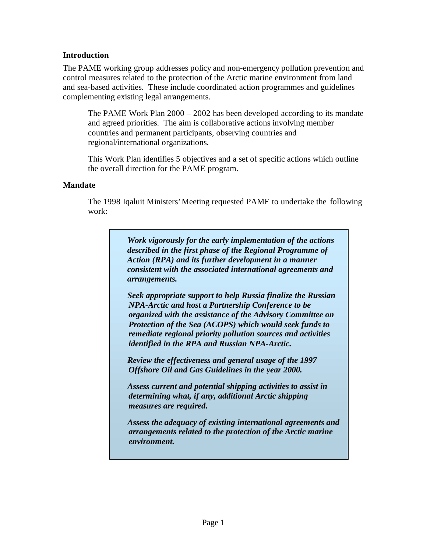### **Introduction**

The PAME working group addresses policy and non-emergency pollution prevention and control measures related to the protection of the Arctic marine environment from land and sea-based activities. These include coordinated action programmes and guidelines complementing existing legal arrangements.

The PAME Work Plan 2000 – 2002 has been developed according to its mandate and agreed priorities. The aim is collaborative actions involving member countries and permanent participants, observing countries and regional/international organizations.

This Work Plan identifies 5 objectives and a set of specific actions which outline the overall direction for the PAME program.

### **Mandate**

The 1998 Iqaluit Ministers' Meeting requested PAME to undertake the following work:

> *Work vigorously for the early implementation of the actions described in the first phase of the Regional Programme of Action (RPA) and its further development in a manner consistent with the associated international agreements and arrangements.*

> *Seek appropriate support to help Russia finalize the Russian NPA-Arctic and host a Partnership Conference to be organized with the assistance of the Advisory Committee on Protection of the Sea (ACOPS) which would seek funds to remediate regional priority pollution sources and activities identified in the RPA and Russian NPA-Arctic.*

*Review the effectiveness and general usage of the 1997 Offshore Oil and Gas Guidelines in the year 2000.*

*Assess current and potential shipping activities to assist in determining what, if any, additional Arctic shipping measures are required.*

*Assess the adequacy of existing international agreements and arrangements related to the protection of the Arctic marine environment.*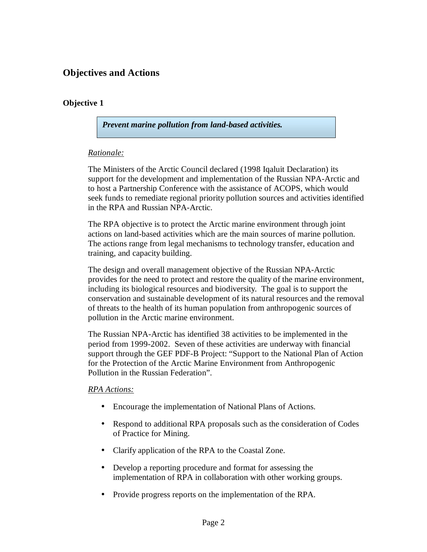### **Objectives and Actions**

### **Objective 1**

*Prevent marine pollution from land-based activities.*

### *Rationale:*

The Ministers of the Arctic Council declared (1998 Iqaluit Declaration) its support for the development and implementation of the Russian NPA-Arctic and to host a Partnership Conference with the assistance of ACOPS, which would seek funds to remediate regional priority pollution sources and activities identified in the RPA and Russian NPA-Arctic.

The RPA objective is to protect the Arctic marine environment through joint actions on land-based activities which are the main sources of marine pollution. The actions range from legal mechanisms to technology transfer, education and training, and capacity building.

The design and overall management objective of the Russian NPA-Arctic provides for the need to protect and restore the quality of the marine environment, including its biological resources and biodiversity. The goal is to support the conservation and sustainable development of its natural resources and the removal of threats to the health of its human population from anthropogenic sources of pollution in the Arctic marine environment.

The Russian NPA-Arctic has identified 38 activities to be implemented in the period from 1999-2002. Seven of these activities are underway with financial support through the GEF PDF-B Project: "Support to the National Plan of Action for the Protection of the Arctic Marine Environment from Anthropogenic Pollution in the Russian Federation".

### *RPA Actions:*

- Encourage the implementation of National Plans of Actions.
- Respond to additional RPA proposals such as the consideration of Codes of Practice for Mining.
- Clarify application of the RPA to the Coastal Zone.
- Develop a reporting procedure and format for assessing the implementation of RPA in collaboration with other working groups.
- Provide progress reports on the implementation of the RPA.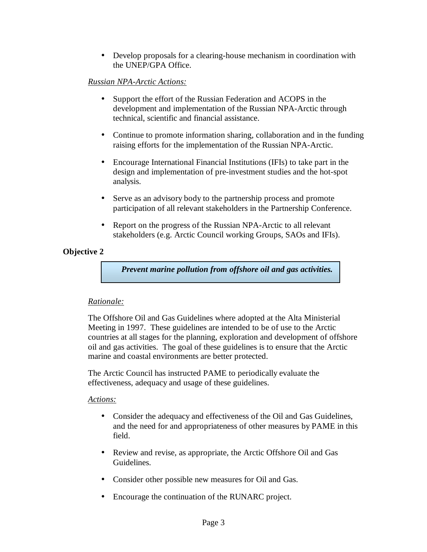• Develop proposals for a clearing-house mechanism in coordination with the UNEP/GPA Office.

### *Russian NPA-Arctic Actions:*

- Support the effort of the Russian Federation and ACOPS in the development and implementation of the Russian NPA-Arctic through technical, scientific and financial assistance.
- Continue to promote information sharing, collaboration and in the funding raising efforts for the implementation of the Russian NPA-Arctic.
- Encourage International Financial Institutions (IFIs) to take part in the design and implementation of pre-investment studies and the hot-spot analysis.
- Serve as an advisory body to the partnership process and promote participation of all relevant stakeholders in the Partnership Conference.
- Report on the progress of the Russian NPA-Arctic to all relevant stakeholders (e.g. Arctic Council working Groups, SAOs and IFIs).

### **Objective 2**

*Prevent marine pollution from offshore oil and gas activities.*

### *Rationale:*

The Offshore Oil and Gas Guidelines where adopted at the Alta Ministerial Meeting in 1997. These guidelines are intended to be of use to the Arctic countries at all stages for the planning, exploration and development of offshore oil and gas activities. The goal of these guidelines is to ensure that the Arctic marine and coastal environments are better protected.

The Arctic Council has instructed PAME to periodically evaluate the effectiveness, adequacy and usage of these guidelines.

### *Actions:*

- Consider the adequacy and effectiveness of the Oil and Gas Guidelines, and the need for and appropriateness of other measures by PAME in this field.
- Review and revise, as appropriate, the Arctic Offshore Oil and Gas Guidelines.
- Consider other possible new measures for Oil and Gas.
- Encourage the continuation of the RUNARC project.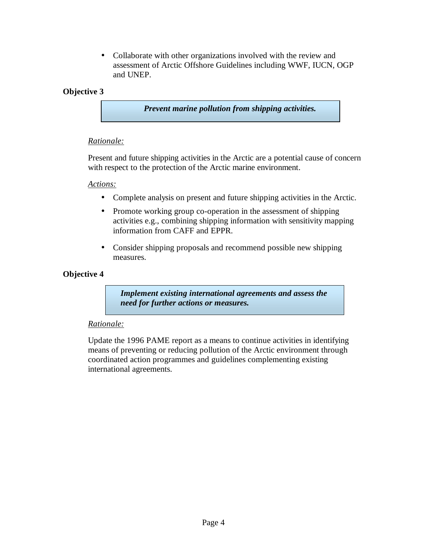• Collaborate with other organizations involved with the review and assessment of Arctic Offshore Guidelines including WWF, IUCN, OGP and UNEP.

### **Objective 3**

*Prevent marine pollution from shipping activities.*

### *Rationale:*

Present and future shipping activities in the Arctic are a potential cause of concern with respect to the protection of the Arctic marine environment.

### *Actions:*

- Complete analysis on present and future shipping activities in the Arctic.
- Promote working group co-operation in the assessment of shipping activities e.g., combining shipping information with sensitivity mapping information from CAFF and EPPR.
- Consider shipping proposals and recommend possible new shipping measures.

### **Objective 4**

*Implement existing international agreements and assess the need for further actions or measures.*

### *Rationale:*

Update the 1996 PAME report as a means to continue activities in identifying means of preventing or reducing pollution of the Arctic environment through coordinated action programmes and guidelines complementing existing international agreements.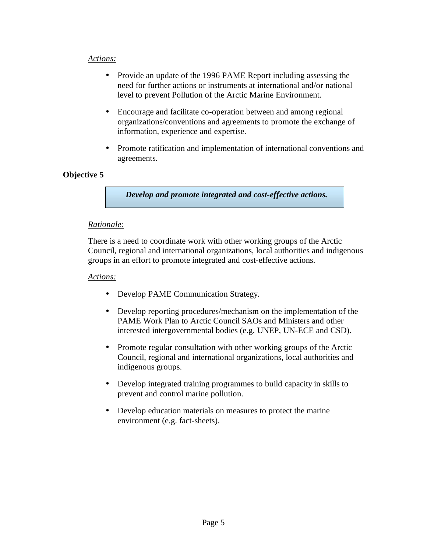### *Actions:*

- Provide an update of the 1996 PAME Report including assessing the need for further actions or instruments at international and/or national level to prevent Pollution of the Arctic Marine Environment.
- Encourage and facilitate co-operation between and among regional organizations/conventions and agreements to promote the exchange of information, experience and expertise.
- Promote ratification and implementation of international conventions and agreements.

### **Objective 5**

*Develop and promote integrated and cost-effective actions.*

### *Rationale:*

There is a need to coordinate work with other working groups of the Arctic Council, regional and international organizations, local authorities and indigenous groups in an effort to promote integrated and cost-effective actions.

### *Actions:*

- Develop PAME Communication Strategy.
- Develop reporting procedures/mechanism on the implementation of the PAME Work Plan to Arctic Council SAOs and Ministers and other interested intergovernmental bodies (e.g. UNEP, UN-ECE and CSD).
- Promote regular consultation with other working groups of the Arctic Council, regional and international organizations, local authorities and indigenous groups.
- Develop integrated training programmes to build capacity in skills to prevent and control marine pollution.
- Develop education materials on measures to protect the marine environment (e.g. fact-sheets).